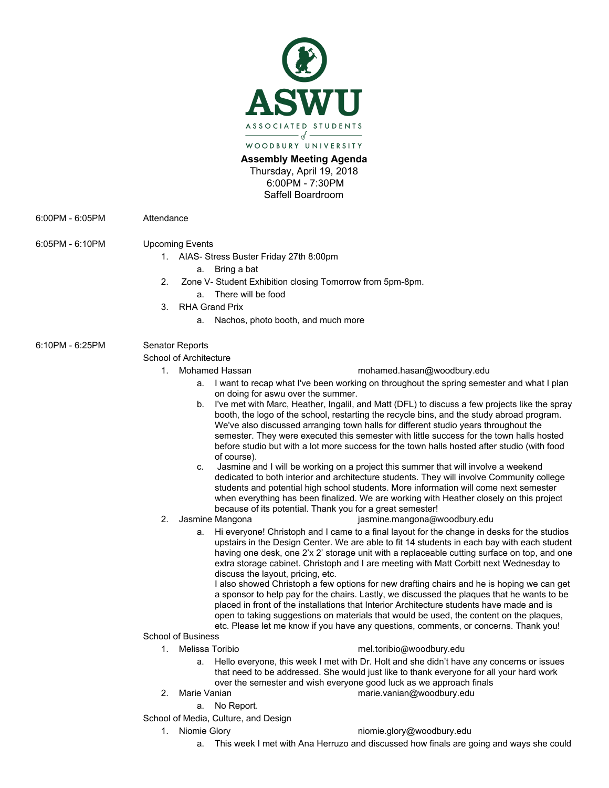

## **Assembly Meeting Agenda**

Thursday, April 19, 2018 6:00PM - 7:30PM Saffell Boardroom

6:00PM - 6:05PM Attendance

### 6:05PM - 6:10PM Upcoming Events

- 1. AIAS- Stress Buster Friday 27th 8:00pm
	- a. Bring a bat
- 2. Zone V- Student Exhibition closing Tomorrow from 5pm-8pm. a. There will be food
- 3. RHA Grand Prix
	- - a. Nachos, photo booth, and much more

# 6:10PM - 6:25PM Senator Reports

#### School of Architecture

- 
- 1. Mohamed Hassan [mohamed.hasan@woodbury.edu](mailto:mohamed.hasan@woodbury.edu)
	- a. I want to recap what I've been working on throughout the spring semester and what I plan on doing for aswu over the summer.
	- b. I've met with Marc, Heather, Ingalil, and Matt (DFL) to discuss a few projects like the spray booth, the logo of the school, restarting the recycle bins, and the study abroad program. We've also discussed arranging town halls for different studio years throughout the semester. They were executed this semester with little success for the town halls hosted before studio but with a lot more success for the town halls hosted after studio (with food of course).
	- c. Jasmine and I will be working on a project this summer that will involve a weekend dedicated to both interior and architecture students. They will involve Community college students and potential high school students. More information will come next semester when everything has been finalized. We are working with Heather closely on this project because of its potential. Thank you for a great semester!
- 
- 2. Jasmine Mangona [jasmine.mangona@woodbury.ed](mailto:jasmine.mangona@woodbury.edu)u
	- a. Hi everyone! Christoph and I came to a final layout for the change in desks for the studios upstairs in the Design Center. We are able to fit 14 students in each bay with each student having one desk, one 2'x 2' storage unit with a replaceable cutting surface on top, and one extra storage cabinet. Christoph and I are meeting with Matt Corbitt next Wednesday to discuss the layout, pricing, etc.

I also showed Christoph a few options for new drafting chairs and he is hoping we can get a sponsor to help pay for the chairs. Lastly, we discussed the plaques that he wants to be placed in front of the installations that Interior Architecture students have made and is open to taking suggestions on materials that would be used, the content on the plaques, etc. Please let me know if you have any questions, comments, or concerns. Thank you!

- School of Business
	-
	- 1. Melissa Toribio [mel.toribio@woodbury.edu](mailto:mel.toribio@woodbury.edu)
		- a. Hello everyone, this week I met with Dr. Holt and she didn't have any concerns or issues that need to be addressed. She would just like to thank everyone for all your hard work over the semester and wish everyone good luck as we approach finals
		-
	- 2. Marie Vanian [marie.vanian@woodbury.edu](mailto:marie.vanian@woodbury.edu)
		- a. No Report.

School of Media, Culture, and Design

#### 1. Niomie Glory [niomie.glory@woodbury.edu](mailto:niomie.glory@woodbury.edu)

a. This week I met with Ana Herruzo and discussed how finals are going and ways she could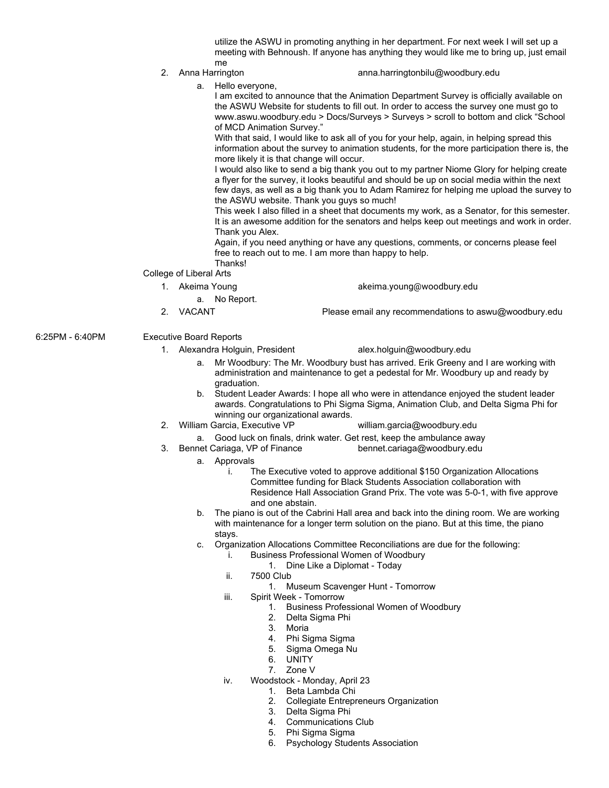utilize the ASWU in promoting anything in her department. For next week I will set up a meeting with Behnoush. If anyone has anything they would like me to bring up, just email me

#### 2. Anna Harrington [anna.harringtonbilu@woodbury.edu](mailto:anna.harringtonbilu@woodbury.edu)

a. Hello everyone,

I am excited to announce that the Animation Department Survey is officially available on the ASWU Website for students to fill out. In order to access the survey one must go to www.aswu.woodbury.edu > Docs/Surveys > Surveys > scroll to bottom and click "School of MCD Animation Survey."

With that said, I would like to ask all of you for your help, again, in helping spread this information about the survey to animation students, for the more participation there is, the more likely it is that change will occur.

I would also like to send a big thank you out to my partner Niome Glory for helping create a flyer for the survey, it looks beautiful and should be up on social media within the next few days, as well as a big thank you to Adam Ramirez for helping me upload the survey to the ASWU website. Thank you guys so much!

This week I also filled in a sheet that documents my work, as a Senator, for this semester. It is an awesome addition for the senators and helps keep out meetings and work in order. Thank you Alex.

Again, if you need anything or have any questions, comments, or concerns please feel free to reach out to me. I am more than happy to help. Thanks!

- College of Liberal Arts
- 
- 1. Akeima Young akeima.young@woodbury.edu
	- a. No Report.
- 2. VACANT Please email any recommendations to aswu@woodbury.edu
- 6:25PM 6:40PM Executive Board Reports
	- 1. Alexandra Holguin, President [alex.holguin@woodbury.edu](mailto:alex.holguin@woodbury.edu)

- a. Mr Woodbury: The Mr. Woodbury bust has arrived. Erik Greeny and I are working with administration and maintenance to get a pedestal for Mr. Woodbury up and ready by graduation.
- b. Student Leader Awards: I hope all who were in attendance enjoyed the student leader awards. Congratulations to Phi Sigma Sigma, Animation Club, and Delta Sigma Phi for winning our organizational awards.
- 2. William Garcia, Executive VP [william.garcia@woodbury.edu](mailto:william.garcia@woodbury.edu)
- a. Good luck on finals, drink water. Get rest, keep the ambulance away
- 3. Bennet Cariaga, VP of Finance [bennet.cariaga@woodbury.edu](mailto:bennet.cariaga@woodbury.edu)
	- a. Approvals
		- i. The Executive voted to approve additional \$150 Organization Allocations Committee funding for Black Students Association collaboration with Residence Hall Association Grand Prix. The vote was 5-0-1, with five approve and one abstain.
	- b. The piano is out of the Cabrini Hall area and back into the dining room. We are working with maintenance for a longer term solution on the piano. But at this time, the piano stays.
	- c. Organization Allocations Committee Reconciliations are due for the following:
		- i. Business Professional Women of Woodbury
			- 1. Dine Like a Diplomat Today
		- ii. 7500 Club
			- 1. Museum Scavenger Hunt Tomorrow
		- iii. Spirit Week Tomorrow
			- 1. Business Professional Women of Woodbury
			- 2. Delta Sigma Phi
			- 3. Moria
			- 4. Phi Sigma Sigma
			- 5. Sigma Omega Nu
			- 6. UNITY
			- 7. Zone V
		- iv. Woodstock Monday, April 23
			- 1. Beta Lambda Chi
			- 2. Collegiate Entrepreneurs Organization
			- 3. Delta Sigma Phi
			- 4. Communications Club
			- 5. Phi Sigma Sigma
			- 6. Psychology Students Association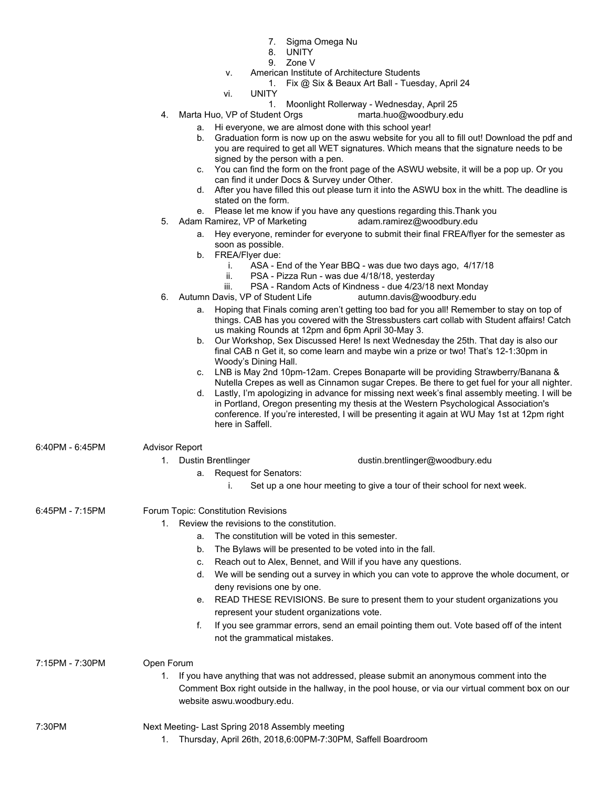- 7. Sigma Omega Nu
- 8. UNITY
- 9. Zone V
- v. American Institute of Architecture Students
	- 1. Fix @ Six & Beaux Art Ball Tuesday, April 24
- vi. UNITY
	- 1. Moonlight Rollerway Wednesday, April 25
- 4. Marta Huo, VP of Student Orgs [marta.huo@woodbury.edu](mailto:marta.huo@woodbury.edu)
	- a. Hi everyone, we are almost done with this school year!
	- b. Graduation form is now up on the aswu website for you all to fill out! Download the pdf and you are required to get all WET signatures. Which means that the signature needs to be signed by the person with a pen.
	- c. You can find the form on the front page of the ASWU website, it will be a pop up. Or you can find it under Docs & Survey under Other.
	- d. After you have filled this out please turn it into the ASWU box in the whitt. The deadline is stated on the form.
	- e. Please let me know if you have any questions regarding this.Thank you
- 5. Adam Ramirez, VP of Marketing [adam.ramirez@woodbury.edu](mailto:adam.ramirez@woodbury.edu)
	- a. Hey everyone, reminder for everyone to submit their final FREA/flyer for the semester as soon as possible.
	- b. FREA/Flyer due:
		- i. ASA End of the Year BBQ was due two days ago, 4/17/18
		- ii. PSA Pizza Run was due 4/18/18, yesterday
		- iii. PSA Random Acts of Kindness due 4/23/18 next Monday
- 6. Autumn Davis, VP of Student Life [autumn.davis@woodbury.ed](mailto:autumn.davis@woodbury.edu)u
	- a. Hoping that Finals coming aren't getting too bad for you all! Remember to stay on top of things. CAB has you covered with the Stressbusters cart collab with Student affairs! Catch us making Rounds at 12pm and 6pm April 30-May 3.
	- b. Our Workshop, Sex Discussed Here! Is next Wednesday the 25th. That day is also our final CAB n Get it, so come learn and maybe win a prize or two! That's 12-1:30pm in Woody's Dining Hall.
	- c. LNB is May 2nd 10pm-12am. Crepes Bonaparte will be providing Strawberry/Banana & Nutella Crepes as well as Cinnamon sugar Crepes. Be there to get fuel for your all nighter.
	- d. Lastly, I'm apologizing in advance for missing next week's final assembly meeting. I will be in Portland, Oregon presenting my thesis at the Western Psychological Association's conference. If you're interested, I will be presenting it again at WU May 1st at 12pm right here in Saffell.
- 6:40PM 6:45PM Advisor Report

|  | , www.com   |  |
|--|-------------|--|
|  | Ductin Drox |  |

- 1. Dustin Brentlinger [dustin.brentlinger@woodbury.edu](mailto:dustin.brentlinger@woodbury.edu)
	- a. Request for Senators:
		- i. Set up a one hour meeting to give a tour of their school for next week.

6:45PM - 7:15PM Forum Topic: Constitution Revisions

1. Review the revisions to the constitution.

- a. The constitution will be voted in this semester.
- b. The Bylaws will be presented to be voted into in the fall.
- c. Reach out to Alex, Bennet, and Will if you have any questions.
- d. We will be sending out a survey in which you can vote to approve the whole document, or deny revisions one by one.
- e. READ THESE REVISIONS. Be sure to present them to your student organizations you represent your student organizations vote.
- f. If you see grammar errors, send an email pointing them out. Vote based off of the intent not the grammatical mistakes.

7:15PM - 7:30PM Open Forum

- - 1. If you have anything that was not addressed, please submit an anonymous comment into the Comment Box right outside in the hallway, in the pool house, or via our virtual comment box on our website aswu.woodbury.edu.

- 7:30PM Next Meeting- Last Spring 2018 Assembly meeting
	- 1. Thursday, April 26th, 2018,6:00PM-7:30PM, Saffell Boardroom